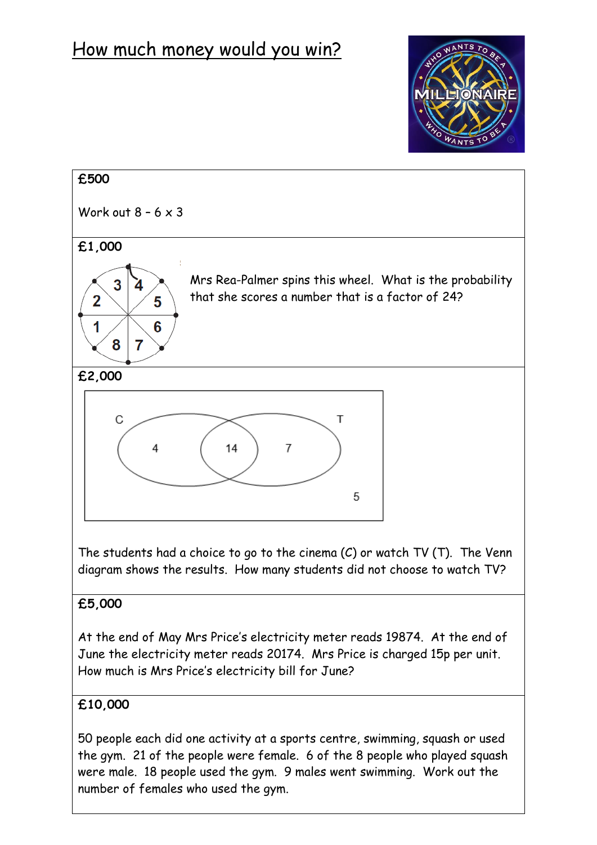## How much money would you win?





The students had a choice to go to the cinema  $(C)$  or watch TV  $(T)$ . The Venn diagram shows the results. How many students did not choose to watch TV?

## **£5,000**

At the end of May Mrs Price's electricity meter reads 19874. At the end of June the electricity meter reads 20174. Mrs Price is charged 15p per unit. How much is Mrs Price's electricity bill for June?

## **£10,000**

50 people each did one activity at a sports centre, swimming, squash or used the gym. 21 of the people were female. 6 of the 8 people who played squash were male. 18 people used the gym. 9 males went swimming. Work out the number of females who used the gym.